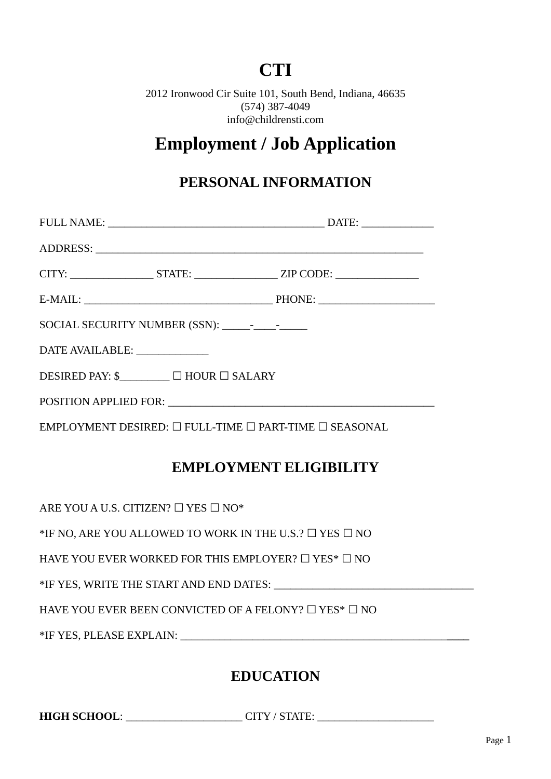# **CTI**

2012 Ironwood Cir Suite 101, South Bend, Indiana, 46635 (574) 387-4049 info@childrensti.com

# **Employment / Job Application**

### **PERSONAL INFORMATION**

|                               |                                                                       | ADDRESS: Land and the contract of the contract of the contract of the contract of the contract of the contract of the contract of the contract of the contract of the contract of the contract of the contract of the contract |
|-------------------------------|-----------------------------------------------------------------------|--------------------------------------------------------------------------------------------------------------------------------------------------------------------------------------------------------------------------------|
|                               |                                                                       |                                                                                                                                                                                                                                |
|                               |                                                                       |                                                                                                                                                                                                                                |
|                               |                                                                       |                                                                                                                                                                                                                                |
| DATE AVAILABLE: _____________ |                                                                       |                                                                                                                                                                                                                                |
|                               | DESIRED PAY: $\$\square$ HOUR $\square$ SALARY                        |                                                                                                                                                                                                                                |
|                               |                                                                       |                                                                                                                                                                                                                                |
|                               | EMPLOYMENT DESIRED: $\Box$ FULL-TIME $\Box$ PART-TIME $\Box$ SEASONAL |                                                                                                                                                                                                                                |

### **EMPLOYMENT ELIGIBILITY**

ARE YOU A U.S. CITIZEN?  $\Box$  YES  $\Box$  NO\*

\*IF NO, ARE YOU ALLOWED TO WORK IN THE U.S.?  $\Box$  YES  $\Box$  NO

HAVE YOU EVER WORKED FOR THIS EMPLOYER?  $\Box$  YES\*  $\Box$  NO

\*IF YES, WRITE THE START AND END DATES: \_\_\_\_\_\_\_\_\_\_\_\_\_\_\_\_\_\_\_\_\_\_\_\_\_\_\_\_\_\_\_\_\_\_\_\_

HAVE YOU EVER BEEN CONVICTED OF A FELONY?  $\Box$  YES\*  $\Box$  NO

\*IF YES, PLEASE EXPLAIN: \_\_\_\_\_\_\_\_\_\_\_\_\_\_\_\_\_\_\_\_\_\_\_\_\_\_\_\_\_\_\_\_\_\_\_\_\_\_\_\_\_\_\_\_\_\_\_\_**\_\_\_\_**

### **EDUCATION**

**HIGH SCHOOL**: \_\_\_\_\_\_\_\_\_\_\_\_\_\_\_\_\_\_\_\_\_ CITY / STATE: \_\_\_\_\_\_\_\_\_\_\_\_\_\_\_\_\_\_\_\_\_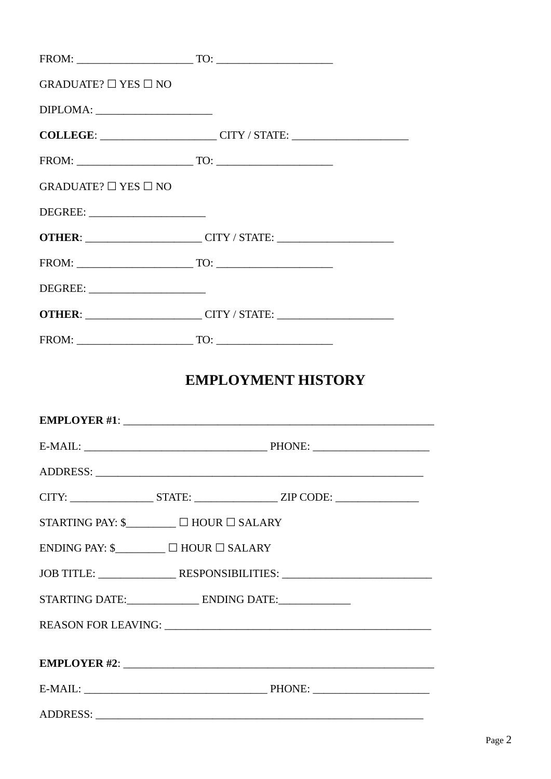| GRADUATE? $\Box$ YES $\Box$ NO           |                                                                                                                                                                                                                                                                                                                                                                                                                                                                                                             |
|------------------------------------------|-------------------------------------------------------------------------------------------------------------------------------------------------------------------------------------------------------------------------------------------------------------------------------------------------------------------------------------------------------------------------------------------------------------------------------------------------------------------------------------------------------------|
|                                          |                                                                                                                                                                                                                                                                                                                                                                                                                                                                                                             |
|                                          | COLLEGE: _______________________CITY / STATE: __________________________________                                                                                                                                                                                                                                                                                                                                                                                                                            |
|                                          |                                                                                                                                                                                                                                                                                                                                                                                                                                                                                                             |
| GRADUATE? $\Box$ YES $\Box$ NO           |                                                                                                                                                                                                                                                                                                                                                                                                                                                                                                             |
|                                          |                                                                                                                                                                                                                                                                                                                                                                                                                                                                                                             |
|                                          | OTHER: CITY / STATE: CITY / STATE:                                                                                                                                                                                                                                                                                                                                                                                                                                                                          |
|                                          | $TQ: \underline{\hspace{1.5cm}} TQ: \underline{\hspace{1.5cm}} TQ: \underline{\hspace{1.5cm}} TQ: \underline{\hspace{1.5cm}} TQ: \underline{\hspace{1.5cm}} TQ: \underline{\hspace{1.5cm}} TQ: \underline{\hspace{1.5cm}} TQ: \underline{\hspace{1.5cm}} TQ: \underline{\hspace{1.5cm}} TQ: \underline{\hspace{1.5cm}} TQ: \underline{\hspace{1.5cm}} TQ: \underline{\hspace{1.5cm}} TQ: \underline{\hspace{1.5cm}} TQ: \underline{\hspace{1.5cm}} TQ: \underline{\hspace{1.5cm}} TQ: \underline{\hspace{1$ |
| DEGREE:                                  |                                                                                                                                                                                                                                                                                                                                                                                                                                                                                                             |
|                                          |                                                                                                                                                                                                                                                                                                                                                                                                                                                                                                             |
|                                          | $TQ: \underline{\hspace{1.5cm}} TQ: \underline{\hspace{1.5cm}} TQ: \underline{\hspace{1.5cm}} TQ: \underline{\hspace{1.5cm}} TQ: \underline{\hspace{1.5cm}} TQ: \underline{\hspace{1.5cm}} TQ: \underline{\hspace{1.5cm}} TQ: \underline{\hspace{1.5cm}} TQ: \underline{\hspace{1.5cm}} TQ: \underline{\hspace{1.5cm}} TQ: \underline{\hspace{1.5cm}} TQ: \underline{\hspace{1.5cm}} TQ: \underline{\hspace{1.5cm}} TQ: \underline{\hspace{1.5cm}} TQ: \underline{\hspace{1.5cm}} TQ: \underline{\hspace{1$ |
|                                          |                                                                                                                                                                                                                                                                                                                                                                                                                                                                                                             |
|                                          | <b>EMPLOYMENT HISTORY</b>                                                                                                                                                                                                                                                                                                                                                                                                                                                                                   |
|                                          |                                                                                                                                                                                                                                                                                                                                                                                                                                                                                                             |
|                                          |                                                                                                                                                                                                                                                                                                                                                                                                                                                                                                             |
|                                          |                                                                                                                                                                                                                                                                                                                                                                                                                                                                                                             |
|                                          | CITY: _______________________STATE: _____________________ZIP CODE: ______________                                                                                                                                                                                                                                                                                                                                                                                                                           |
| STARTING PAY: \$________ □ HOUR □ SALARY |                                                                                                                                                                                                                                                                                                                                                                                                                                                                                                             |
| ENDING PAY: \$_________ □ HOUR □ SALARY  |                                                                                                                                                                                                                                                                                                                                                                                                                                                                                                             |
|                                          | JOB TITLE: ___________________RESPONSIBILITIES: ________________________________                                                                                                                                                                                                                                                                                                                                                                                                                            |
|                                          |                                                                                                                                                                                                                                                                                                                                                                                                                                                                                                             |
|                                          |                                                                                                                                                                                                                                                                                                                                                                                                                                                                                                             |
|                                          |                                                                                                                                                                                                                                                                                                                                                                                                                                                                                                             |
|                                          |                                                                                                                                                                                                                                                                                                                                                                                                                                                                                                             |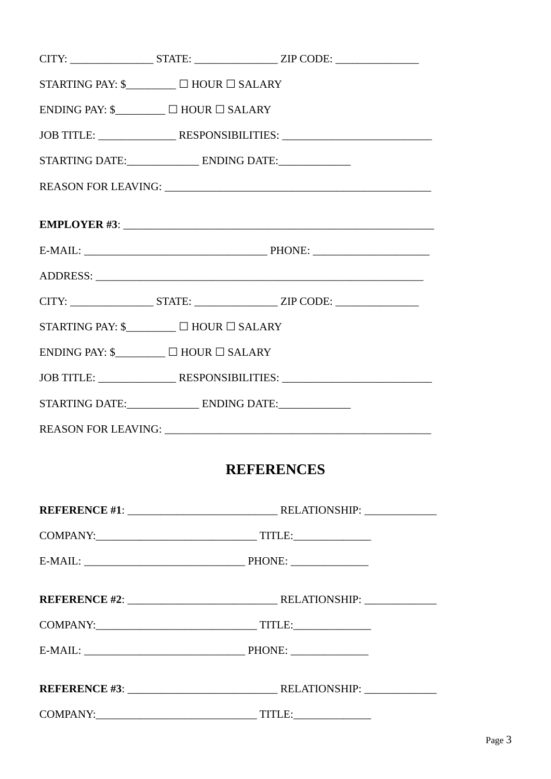|                                                              |  | CITY: _______________________STATE: ______________________ZIP CODE: ________________________________ |  |  |
|--------------------------------------------------------------|--|------------------------------------------------------------------------------------------------------|--|--|
| STARTING PAY: $\mathcal{S}$ $\Box$ $\Box$ HOUR $\Box$ SALARY |  |                                                                                                      |  |  |
| ENDING PAY: $\mathcal{S}$ $\Box$ $\Box$ HOUR $\Box$ SALARY   |  |                                                                                                      |  |  |
|                                                              |  |                                                                                                      |  |  |
|                                                              |  | STARTING DATE:________________________ ENDING DATE:_________________                                 |  |  |
|                                                              |  |                                                                                                      |  |  |
|                                                              |  | EMPLOYER #3:                                                                                         |  |  |
|                                                              |  |                                                                                                      |  |  |
|                                                              |  |                                                                                                      |  |  |
|                                                              |  | CITY: ______________________STATE: _____________________ZIP CODE: _______________                    |  |  |
| STARTING PAY: \$_________ □ HOUR □ SALARY                    |  |                                                                                                      |  |  |
| ENDING PAY: $\mathcal{S}$ $\Box$ $\Box$ HOUR $\Box$ SALARY   |  |                                                                                                      |  |  |
|                                                              |  | JOB TITLE: _______________________RESPONSIBILITIES: ____________________________                     |  |  |
|                                                              |  |                                                                                                      |  |  |
|                                                              |  |                                                                                                      |  |  |
|                                                              |  | <b>REFERENCES</b>                                                                                    |  |  |
|                                                              |  |                                                                                                      |  |  |
|                                                              |  |                                                                                                      |  |  |
|                                                              |  |                                                                                                      |  |  |
|                                                              |  |                                                                                                      |  |  |
|                                                              |  |                                                                                                      |  |  |
|                                                              |  |                                                                                                      |  |  |
|                                                              |  |                                                                                                      |  |  |
|                                                              |  |                                                                                                      |  |  |